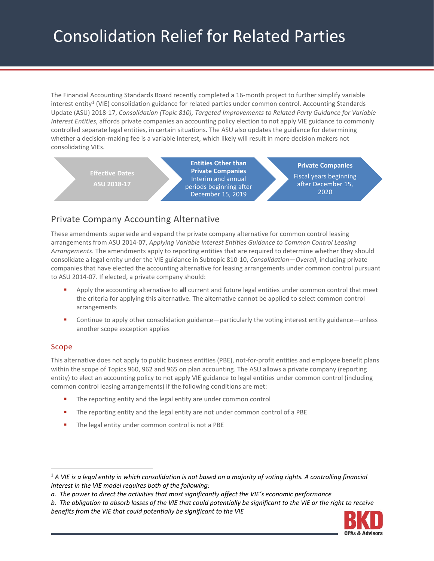# Consolidation Relief for Related Parties

The Financial Accounting Standards Board recently completed a 16-month project to further simplify variable interest entity<sup>[1](#page-0-0)</sup> (VIE) consolidation guidance for related parties under common control. Accounting Standards Update (ASU) 2018-17, *Consolidation (Topic 810), Targeted Improvements to Related Party Guidance for Variable Interest Entities*, affords private companies an accounting policy election to not apply VIE guidance to commonly controlled separate legal entities, in certain situations. The ASU also updates the guidance for determining whether a decision-making fee is a variable interest, which likely will result in more decision makers not consolidating VIEs.

**Effective Dates ASU 2018-17 Entities Other than Private Companies** Interim and annual periods beginning after December 15, 2019 **Private Companies** Fiscal years beginning after December 15, 2020

# Private Company Accounting Alternative

These amendments supersede and expand the private company alternative for common control leasing arrangements from ASU 2014-07, *Applying Variable Interest Entities Guidance to Common Control Leasing Arrangements*. The amendments apply to reporting entities that are required to determine whether they should consolidate a legal entity under the VIE guidance in Subtopic 810-10, *Consolidation—Overall*, including private companies that have elected the accounting alternative for leasing arrangements under common control pursuant to ASU 2014-07. If elected, a private company should:

- Apply the accounting alternative to **all** current and future legal entities under common control that meet the criteria for applying this alternative. The alternative cannot be applied to select common control arrangements
- Continue to apply other consolidation guidance—particularly the voting interest entity guidance—unless another scope exception applies

## Scope

This alternative does not apply to public business entities (PBE), not-for-profit entities and employee benefit plans within the scope of Topics 960, 962 and 965 on plan accounting. The ASU allows a private company (reporting entity) to elect an accounting policy to not apply VIE guidance to legal entities under common control (including common control leasing arrangements) if the following conditions are met:

- The reporting entity and the legal entity are under common control
- The reporting entity and the legal entity are not under common control of a PBE
- The legal entity under common control is not a PBE

*b. The obligation to absorb losses of the VIE that could potentially be significant to the VIE or the right to receive benefits from the VIE that could potentially be significant to the VIE*



<span id="page-0-0"></span> <sup>1</sup> *A VIE is a legal entity in which consolidation is not based on a majority of voting rights. A controlling financial interest in the VIE model requires both of the following:*

*a. The power to direct the activities that most significantly affect the VIE's economic performance*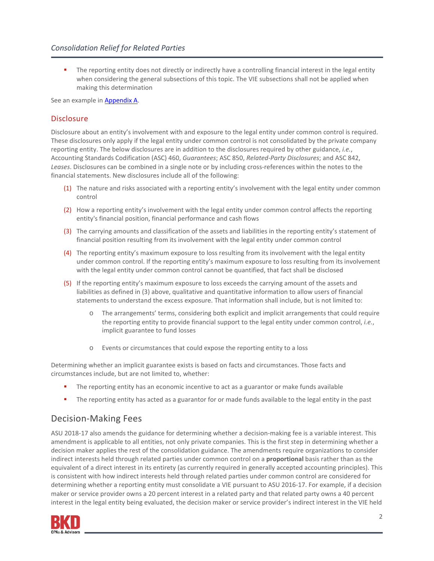The reporting entity does not directly or indirectly have a controlling financial interest in the legal entity when considering the general subsections of this topic. The VIE subsections shall not be applied when making this determination

See an example in **Appendix A.** 

#### **Disclosure**

Disclosure about an entity's involvement with and exposure to the legal entity under common control is required. These disclosures only apply if the legal entity under common control is not consolidated by the private company reporting entity. The below disclosures are in addition to the disclosures required by other guidance, *i.e.*, Accounting Standards Codification (ASC) 460, *Guarantees*; ASC 850, *Related-Party Disclosures*; and ASC 842, *Leases*. Disclosures can be combined in a single note or by including cross-references within the notes to the financial statements. New disclosures include all of the following:

- (1) The nature and risks associated with a reporting entity's involvement with the legal entity under common control
- (2) How a reporting entity's involvement with the legal entity under common control affects the reporting entity's financial position, financial performance and cash flows
- (3) The carrying amounts and classification of the assets and liabilities in the reporting entity's statement of financial position resulting from its involvement with the legal entity under common control
- (4) The reporting entity's maximum exposure to loss resulting from its involvement with the legal entity under common control. If the reporting entity's maximum exposure to loss resulting from its involvement with the legal entity under common control cannot be quantified, that fact shall be disclosed
- (5) If the reporting entity's maximum exposure to loss exceeds the carrying amount of the assets and liabilities as defined in (3) above, qualitative and quantitative information to allow users of financial statements to understand the excess exposure. That information shall include, but is not limited to:
	- o The arrangements' terms, considering both explicit and implicit arrangements that could require the reporting entity to provide financial support to the legal entity under common control, *i.e.*, implicit guarantee to fund losses
	- o Events or circumstances that could expose the reporting entity to a loss

Determining whether an implicit guarantee exists is based on facts and circumstances. Those facts and circumstances include, but are not limited to, whether:

- **The reporting entity has an economic incentive to act as a guarantor or make funds available**
- The reporting entity has acted as a guarantor for or made funds available to the legal entity in the past

## Decision-Making Fees

ASU 2018-17 also amends the guidance for determining whether a decision-making fee is a variable interest. This amendment is applicable to all entities, not only private companies. This is the first step in determining whether a decision maker applies the rest of the consolidation guidance. The amendments require organizations to consider indirect interests held through related parties under common control on a **proportional** basis rather than as the equivalent of a direct interest in its entirety (as currently required in generally accepted accounting principles). This is consistent with how indirect interests held through related parties under common control are considered for determining whether a reporting entity must consolidate a VIE pursuant to ASU 2016-17. For example, if a decision maker or service provider owns a 20 percent interest in a related party and that related party owns a 40 percent interest in the legal entity being evaluated, the decision maker or service provider's indirect interest in the VIE held

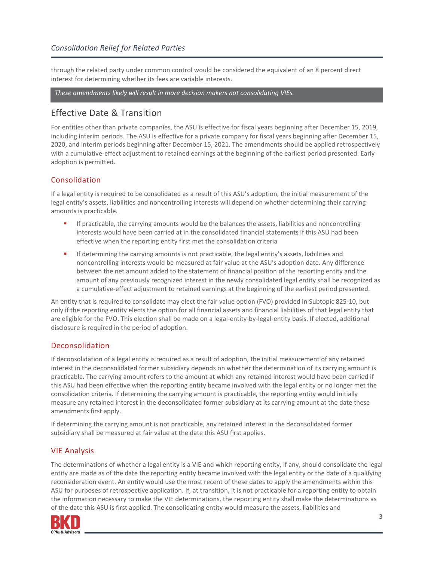through the related party under common control would be considered the equivalent of an 8 percent direct interest for determining whether its fees are variable interests.

*These amendments likely will result in more decision makers not consolidating VIEs.*

## Effective Date & Transition

For entities other than private companies, the ASU is effective for fiscal years beginning after December 15, 2019, including interim periods. The ASU is effective for a private company for fiscal years beginning after December 15, 2020, and interim periods beginning after December 15, 2021. The amendments should be applied retrospectively with a cumulative-effect adjustment to retained earnings at the beginning of the earliest period presented. Early adoption is permitted.

## Consolidation

If a legal entity is required to be consolidated as a result of this ASU's adoption, the initial measurement of the legal entity's assets, liabilities and noncontrolling interests will depend on whether determining their carrying amounts is practicable.

- If practicable, the carrying amounts would be the balances the assets, liabilities and noncontrolling interests would have been carried at in the consolidated financial statements if this ASU had been effective when the reporting entity first met the consolidation criteria
- If determining the carrying amounts is not practicable, the legal entity's assets, liabilities and noncontrolling interests would be measured at fair value at the ASU's adoption date. Any difference between the net amount added to the statement of financial position of the reporting entity and the amount of any previously recognized interest in the newly consolidated legal entity shall be recognized as a cumulative-effect adjustment to retained earnings at the beginning of the earliest period presented.

An entity that is required to consolidate may elect the fair value option (FVO) provided in Subtopic 825-10, but only if the reporting entity elects the option for all financial assets and financial liabilities of that legal entity that are eligible for the FVO. This election shall be made on a legal-entity-by-legal-entity basis. If elected, additional disclosure is required in the period of adoption.

#### Deconsolidation

If deconsolidation of a legal entity is required as a result of adoption, the initial measurement of any retained interest in the deconsolidated former subsidiary depends on whether the determination of its carrying amount is practicable. The carrying amount refers to the amount at which any retained interest would have been carried if this ASU had been effective when the reporting entity became involved with the legal entity or no longer met the consolidation criteria. If determining the carrying amount is practicable, the reporting entity would initially measure any retained interest in the deconsolidated former subsidiary at its carrying amount at the date these amendments first apply.

If determining the carrying amount is not practicable, any retained interest in the deconsolidated former subsidiary shall be measured at fair value at the date this ASU first applies.

#### VIE Analysis

The determinations of whether a legal entity is a VIE and which reporting entity, if any, should consolidate the legal entity are made as of the date the reporting entity became involved with the legal entity or the date of a qualifying reconsideration event. An entity would use the most recent of these dates to apply the amendments within this ASU for purposes of retrospective application. If, at transition, it is not practicable for a reporting entity to obtain the information necessary to make the VIE determinations, the reporting entity shall make the determinations as of the date this ASU is first applied. The consolidating entity would measure the assets, liabilities and

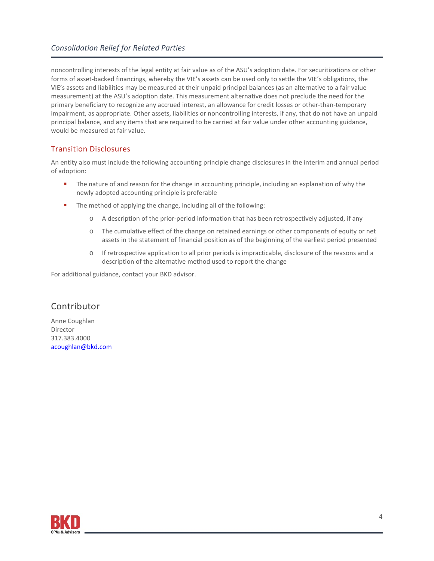### *Consolidation Relief for Related Parties*

noncontrolling interests of the legal entity at fair value as of the ASU's adoption date. For securitizations or other forms of asset-backed financings, whereby the VIE's assets can be used only to settle the VIE's obligations, the VIE's assets and liabilities may be measured at their unpaid principal balances (as an alternative to a fair value measurement) at the ASU's adoption date. This measurement alternative does not preclude the need for the primary beneficiary to recognize any accrued interest, an allowance for credit losses or other-than-temporary impairment, as appropriate. Other assets, liabilities or noncontrolling interests, if any, that do not have an unpaid principal balance, and any items that are required to be carried at fair value under other accounting guidance, would be measured at fair value.

#### Transition Disclosures

An entity also must include the following accounting principle change disclosures in the interim and annual period of adoption:

- **The nature of and reason for the change in accounting principle, including an explanation of why the** newly adopted accounting principle is preferable
- The method of applying the change, including all of the following:
	- o A description of the prior-period information that has been retrospectively adjusted, if any
	- o The cumulative effect of the change on retained earnings or other components of equity or net assets in the statement of financial position as of the beginning of the earliest period presented
	- o If retrospective application to all prior periods is impracticable, disclosure of the reasons and a description of the alternative method used to report the change

For additional guidance, contact your BKD advisor.

# **Contributor**

Anne Coughlan Director 317.383.4000 [acoughlan@bkd.com](mailto:acoughlan@bkd.com)